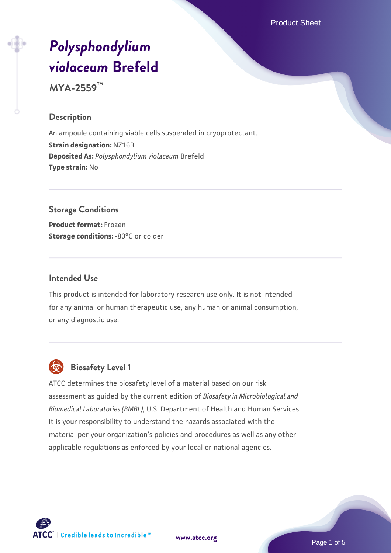Product Sheet

# *[Polysphondylium](https://www.atcc.org/products/mya-2559) [violaceum](https://www.atcc.org/products/mya-2559)* **[Brefeld](https://www.atcc.org/products/mya-2559)**

**MYA-2559™**

#### **Description**

An ampoule containing viable cells suspended in cryoprotectant. **Strain designation:** NZ16B **Deposited As:** *Polysphondylium violaceum* Brefeld **Type strain:** No

# **Storage Conditions**

**Product format:** Frozen **Storage conditions: -80°C or colder** 

#### **Intended Use**

This product is intended for laboratory research use only. It is not intended for any animal or human therapeutic use, any human or animal consumption, or any diagnostic use.



# **Biosafety Level 1**

ATCC determines the biosafety level of a material based on our risk assessment as guided by the current edition of *Biosafety in Microbiological and Biomedical Laboratories (BMBL)*, U.S. Department of Health and Human Services. It is your responsibility to understand the hazards associated with the material per your organization's policies and procedures as well as any other applicable regulations as enforced by your local or national agencies.



**[www.atcc.org](http://www.atcc.org)**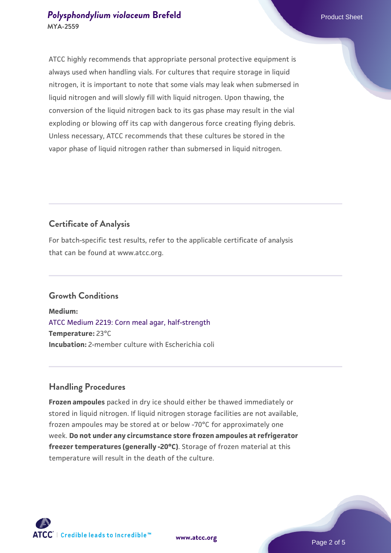#### **[Polysphondylium violaceum](https://www.atcc.org/products/mya-2559) [Brefeld](https://www.atcc.org/products/mya-2559)** Product Sheet **MYA-2559**

ATCC highly recommends that appropriate personal protective equipment is always used when handling vials. For cultures that require storage in liquid nitrogen, it is important to note that some vials may leak when submersed in liquid nitrogen and will slowly fill with liquid nitrogen. Upon thawing, the conversion of the liquid nitrogen back to its gas phase may result in the vial exploding or blowing off its cap with dangerous force creating flying debris. Unless necessary, ATCC recommends that these cultures be stored in the vapor phase of liquid nitrogen rather than submersed in liquid nitrogen.

# **Certificate of Analysis**

For batch-specific test results, refer to the applicable certificate of analysis that can be found at www.atcc.org.

## **Growth Conditions**

**Medium:**  [ATCC Medium 2219: Corn meal agar, half-strength](https://www.atcc.org/-/media/product-assets/documents/microbial-media-formulations/2/2/1/9/atcc-medium-2219.pdf?rev=56941740a8e44ef5b0ad065230bb5acc) **Temperature:** 23°C **Incubation:** 2-member culture with Escherichia coli

## **Handling Procedures**

**Frozen ampoules** packed in dry ice should either be thawed immediately or stored in liquid nitrogen. If liquid nitrogen storage facilities are not available, frozen ampoules may be stored at or below -70°C for approximately one week. **Do not under any circumstance store frozen ampoules at refrigerator freezer temperatures (generally -20°C)**. Storage of frozen material at this temperature will result in the death of the culture.

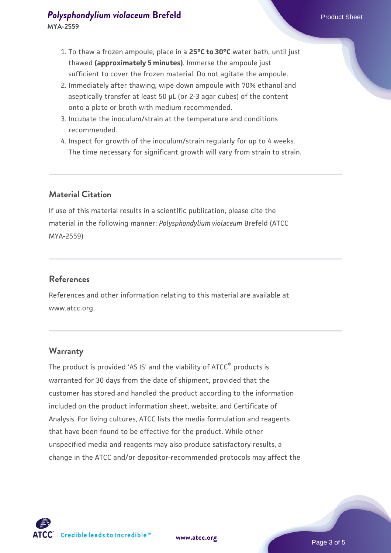- 1. To thaw a frozen ampoule, place in a **25°C to 30°C** water bath, until just thawed **(approximately 5 minutes)**. Immerse the ampoule just sufficient to cover the frozen material. Do not agitate the ampoule.
- 2. Immediately after thawing, wipe down ampoule with 70% ethanol and aseptically transfer at least 50 µL (or 2-3 agar cubes) of the content onto a plate or broth with medium recommended.
- 3. Incubate the inoculum/strain at the temperature and conditions recommended.
- 4. Inspect for growth of the inoculum/strain regularly for up to 4 weeks. The time necessary for significant growth will vary from strain to strain.

## **Material Citation**

If use of this material results in a scientific publication, please cite the material in the following manner: *Polysphondylium violaceum* Brefeld (ATCC MYA-2559)

#### **References**

References and other information relating to this material are available at www.atcc.org.

#### **Warranty**

The product is provided 'AS IS' and the viability of ATCC® products is warranted for 30 days from the date of shipment, provided that the customer has stored and handled the product according to the information included on the product information sheet, website, and Certificate of Analysis. For living cultures, ATCC lists the media formulation and reagents that have been found to be effective for the product. While other unspecified media and reagents may also produce satisfactory results, a change in the ATCC and/or depositor-recommended protocols may affect the

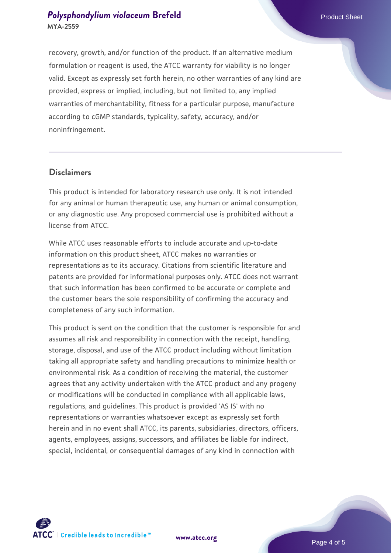## **[Polysphondylium violaceum](https://www.atcc.org/products/mya-2559) [Brefeld](https://www.atcc.org/products/mya-2559)** Product Sheet **MYA-2559**

recovery, growth, and/or function of the product. If an alternative medium formulation or reagent is used, the ATCC warranty for viability is no longer valid. Except as expressly set forth herein, no other warranties of any kind are provided, express or implied, including, but not limited to, any implied warranties of merchantability, fitness for a particular purpose, manufacture according to cGMP standards, typicality, safety, accuracy, and/or noninfringement.

#### **Disclaimers**

This product is intended for laboratory research use only. It is not intended for any animal or human therapeutic use, any human or animal consumption, or any diagnostic use. Any proposed commercial use is prohibited without a license from ATCC.

While ATCC uses reasonable efforts to include accurate and up-to-date information on this product sheet, ATCC makes no warranties or representations as to its accuracy. Citations from scientific literature and patents are provided for informational purposes only. ATCC does not warrant that such information has been confirmed to be accurate or complete and the customer bears the sole responsibility of confirming the accuracy and completeness of any such information.

This product is sent on the condition that the customer is responsible for and assumes all risk and responsibility in connection with the receipt, handling, storage, disposal, and use of the ATCC product including without limitation taking all appropriate safety and handling precautions to minimize health or environmental risk. As a condition of receiving the material, the customer agrees that any activity undertaken with the ATCC product and any progeny or modifications will be conducted in compliance with all applicable laws, regulations, and guidelines. This product is provided 'AS IS' with no representations or warranties whatsoever except as expressly set forth herein and in no event shall ATCC, its parents, subsidiaries, directors, officers, agents, employees, assigns, successors, and affiliates be liable for indirect, special, incidental, or consequential damages of any kind in connection with